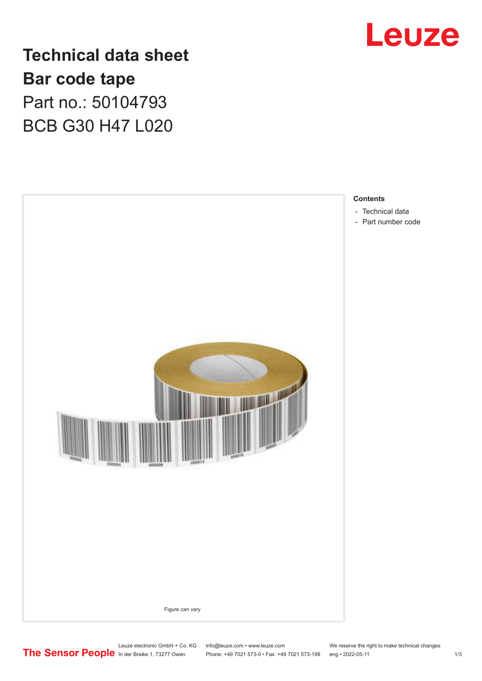

**Technical data sheet Bar code tape** Part no.: 50104793 BCB G30 H47 L020



## Leuze electronic GmbH + Co. KG info@leuze.com • www.leuze.com We reserve the right to make technical changes<br>
The Sensor People in der Braike 1, 73277 Owen Phone: +49 7021 573-0 • Fax: +49 7021 573-199 eng • 2022-05-11

Phone: +49 7021 573-0 • Fax: +49 7021 573-199 eng • 2022-05-11 1 2022-05-11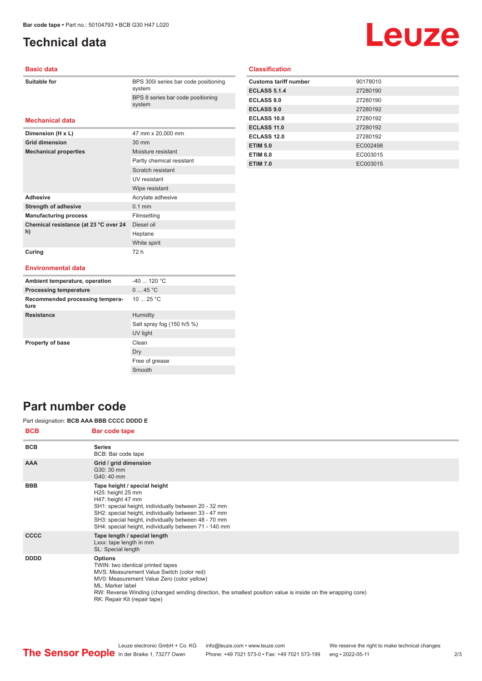## <span id="page-1-0"></span>**Technical data**

# Leuze

#### **Basic data**

| Suitable for |  |
|--------------|--|
|              |  |

BPS 300i series bar code positioning system BPS 8 series bar code positioning system

#### **Mechanical data**

| Dimension (H x L)                           | 47 mm x 20,000 mm         |
|---------------------------------------------|---------------------------|
| <b>Grid dimension</b>                       | $30 \text{ mm}$           |
| <b>Mechanical properties</b>                | Moisture resistant        |
|                                             | Partly chemical resistant |
|                                             | Scratch resistant         |
|                                             | UV resistant              |
|                                             | Wipe resistant            |
| <b>Adhesive</b>                             | Acrylate adhesive         |
| <b>Strength of adhesive</b>                 | $0.1$ mm                  |
| <b>Manufacturing process</b>                | Filmsetting               |
| Chemical resistance (at 23 °C over 24<br>h) | Diesel oil                |
|                                             | Heptane                   |
|                                             | White spirit              |
| Curing                                      | 72 h                      |

#### **Classification**

| <b>Customs tariff number</b> | 90178010 |
|------------------------------|----------|
| <b>ECLASS 5.1.4</b>          | 27280190 |
| <b>ECLASS 8.0</b>            | 27280190 |
| <b>ECLASS 9.0</b>            | 27280192 |
| ECLASS 10.0                  | 27280192 |
| ECLASS 11.0                  | 27280192 |
| ECLASS 12.0                  | 27280192 |
| <b>ETIM 5.0</b>              | EC002498 |
| <b>ETIM 6.0</b>              | EC003015 |
| <b>ETIM 7.0</b>              | EC003015 |

#### **Environmental data**

| Ambient temperature, operation          | $-40$ 120 °C               |
|-----------------------------------------|----------------------------|
| <b>Processing temperature</b>           | 045 °C                     |
| Recommended processing tempera-<br>ture | 10 $25 °C$                 |
| <b>Resistance</b>                       | Humidity                   |
|                                         | Salt spray fog (150 h/5 %) |
|                                         | UV light                   |
| <b>Property of base</b>                 | Clean                      |
|                                         | Dry                        |
|                                         | Free of grease             |
|                                         | Smooth                     |

### **Part number code**

Part designation: **BCB AAA BBB CCCC DDDD E**

| <b>BCB</b>  | <b>Bar code tape</b>                                                                                                                                                                                                                                                                                              |
|-------------|-------------------------------------------------------------------------------------------------------------------------------------------------------------------------------------------------------------------------------------------------------------------------------------------------------------------|
| <b>BCB</b>  | <b>Series</b><br>BCB: Bar code tape                                                                                                                                                                                                                                                                               |
| <b>AAA</b>  | Grid / grid dimension<br>G30: 30 mm<br>G40: 40 mm                                                                                                                                                                                                                                                                 |
| <b>BBB</b>  | Tape height / special height<br>H25: height 25 mm<br>H47: height 47 mm<br>SH1: special height, individually between 20 - 32 mm<br>SH2: special height, individually between 33 - 47 mm<br>SH3: special height, individually between 48 - 70 mm<br>SH4: special height, individually between 71 - 140 mm           |
| <b>CCCC</b> | Tape length / special length<br>Lxxx: tape length in mm<br>SL: Special length                                                                                                                                                                                                                                     |
| <b>DDDD</b> | <b>Options</b><br>TWIN: two identical printed tapes<br>MVS: Measurement Value Switch (color red)<br>MV0: Measurement Value Zero (color yellow)<br>ML: Marker label<br>RW: Reverse Winding (changed winding direction, the smallest position value is inside on the wrapping core)<br>RK: Repair Kit (repair tape) |